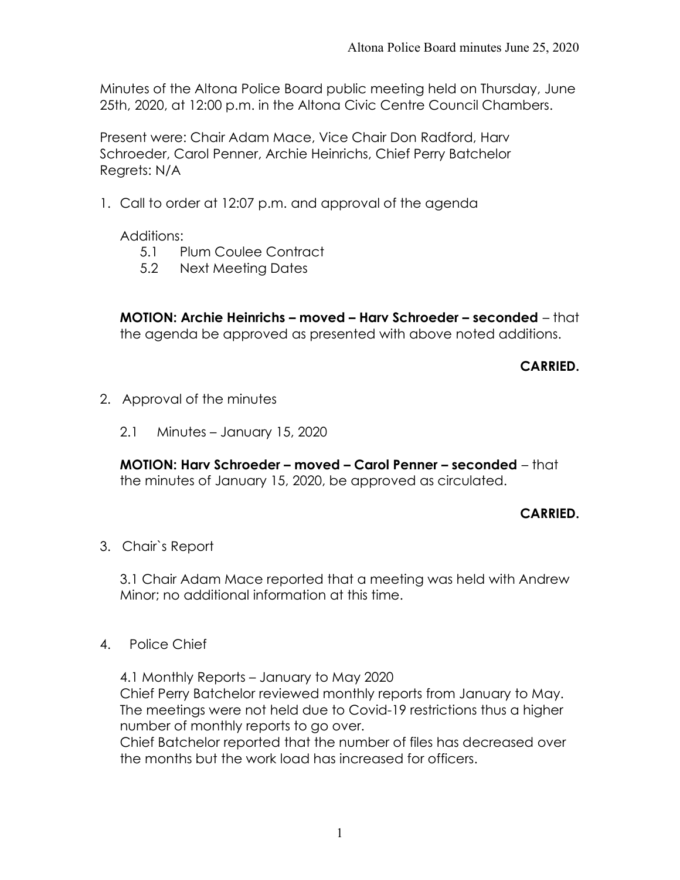Minutes of the Altona Police Board public meeting held on Thursday, June 25th, 2020, at 12:00 p.m. in the Altona Civic Centre Council Chambers.

Present were: Chair Adam Mace, Vice Chair Don Radford, Harv Schroeder, Carol Penner, Archie Heinrichs, Chief Perry Batchelor Regrets: N/A

1. Call to order at 12:07 p.m. and approval of the agenda

Additions:

- 5.1 Plum Coulee Contract
- 5.2 Next Meeting Dates

MOTION: Archie Heinrichs – moved – Harv Schroeder – seconded – that the agenda be approved as presented with above noted additions.

CARRIED.

- 2. Approval of the minutes
	- 2.1 Minutes January 15, 2020

MOTION: Harv Schroeder – moved – Carol Penner – seconded – that the minutes of January 15, 2020, be approved as circulated.

# CARRIED.

3. Chair`s Report

3.1 Chair Adam Mace reported that a meeting was held with Andrew Minor; no additional information at this time.

4. Police Chief

4.1 Monthly Reports – January to May 2020 Chief Perry Batchelor reviewed monthly reports from January to May. The meetings were not held due to Covid-19 restrictions thus a higher number of monthly reports to go over.

Chief Batchelor reported that the number of files has decreased over the months but the work load has increased for officers.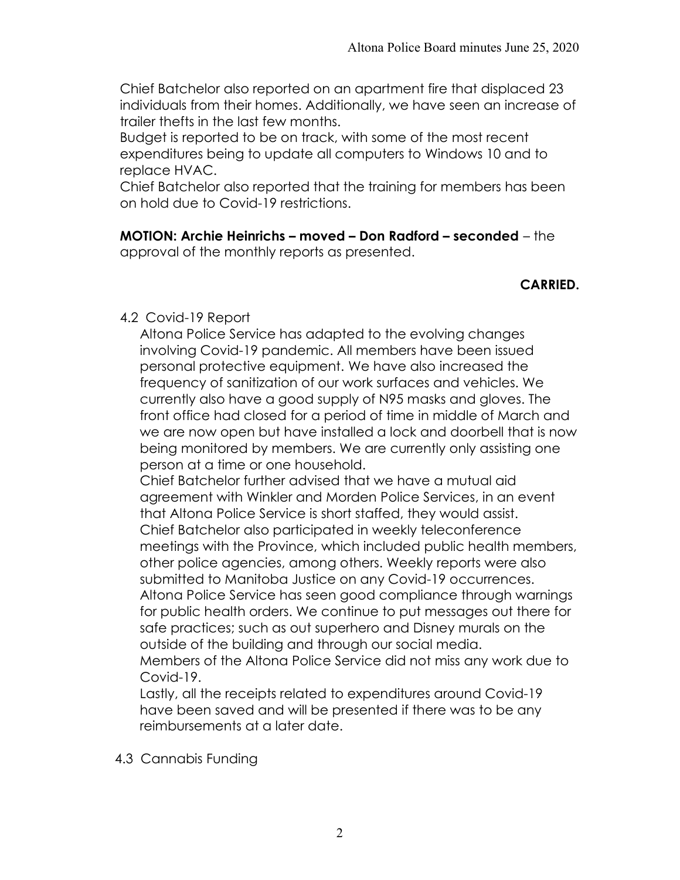Chief Batchelor also reported on an apartment fire that displaced 23 individuals from their homes. Additionally, we have seen an increase of trailer thefts in the last few months.

Budget is reported to be on track, with some of the most recent expenditures being to update all computers to Windows 10 and to replace HVAC.

Chief Batchelor also reported that the training for members has been on hold due to Covid-19 restrictions.

MOTION: Archie Heinrichs – moved – Don Radford – seconded – the approval of the monthly reports as presented.

#### CARRIED.

#### 4.2 Covid-19 Report

Altona Police Service has adapted to the evolving changes involving Covid-19 pandemic. All members have been issued personal protective equipment. We have also increased the frequency of sanitization of our work surfaces and vehicles. We currently also have a good supply of N95 masks and gloves. The front office had closed for a period of time in middle of March and we are now open but have installed a lock and doorbell that is now being monitored by members. We are currently only assisting one person at a time or one household.

Chief Batchelor further advised that we have a mutual aid agreement with Winkler and Morden Police Services, in an event that Altona Police Service is short staffed, they would assist. Chief Batchelor also participated in weekly teleconference meetings with the Province, which included public health members, other police agencies, among others. Weekly reports were also submitted to Manitoba Justice on any Covid-19 occurrences. Altona Police Service has seen good compliance through warnings for public health orders. We continue to put messages out there for safe practices; such as out superhero and Disney murals on the outside of the building and through our social media. Members of the Altona Police Service did not miss any work due to

Covid-19.

Lastly, all the receipts related to expenditures around Covid-19 have been saved and will be presented if there was to be any reimbursements at a later date.

4.3 Cannabis Funding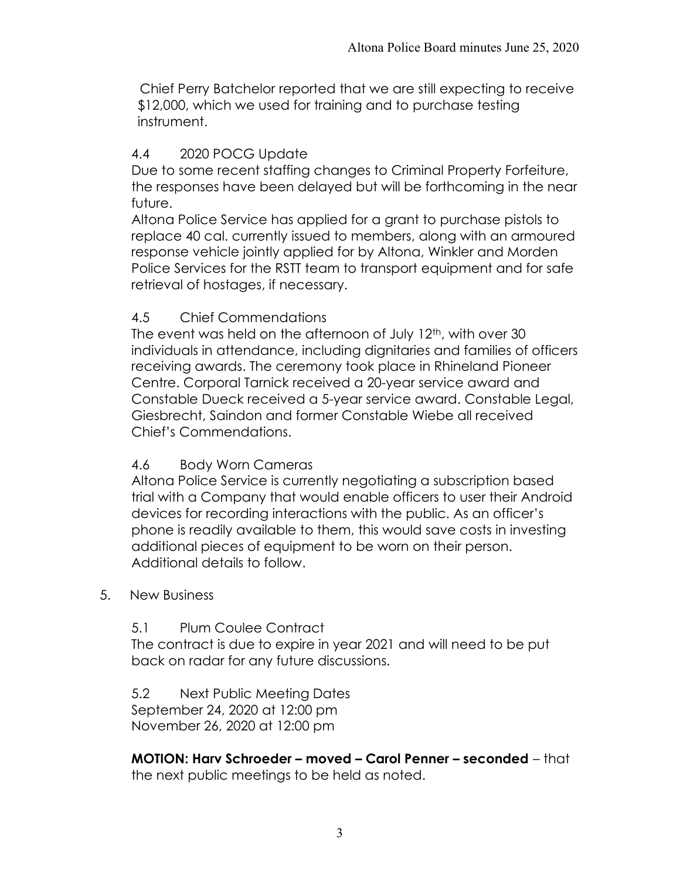Chief Perry Batchelor reported that we are still expecting to receive \$12,000, which we used for training and to purchase testing instrument.

# 4.4 2020 POCG Update

Due to some recent staffing changes to Criminal Property Forfeiture, the responses have been delayed but will be forthcoming in the near future.

Altona Police Service has applied for a grant to purchase pistols to replace 40 cal. currently issued to members, along with an armoured response vehicle jointly applied for by Altona, Winkler and Morden Police Services for the RSTT team to transport equipment and for safe retrieval of hostages, if necessary.

# 4.5 Chief Commendations

The event was held on the afternoon of July 12<sup>th</sup>, with over 30 individuals in attendance, including dignitaries and families of officers receiving awards. The ceremony took place in Rhineland Pioneer Centre. Corporal Tarnick received a 20-year service award and Constable Dueck received a 5-year service award. Constable Legal, Giesbrecht, Saindon and former Constable Wiebe all received Chief's Commendations.

# 4.6 Body Worn Cameras

Altona Police Service is currently negotiating a subscription based trial with a Company that would enable officers to user their Android devices for recording interactions with the public. As an officer's phone is readily available to them, this would save costs in investing additional pieces of equipment to be worn on their person. Additional details to follow.

### 5. New Business

### 5.1 Plum Coulee Contract

The contract is due to expire in year 2021 and will need to be put back on radar for any future discussions.

5.2 Next Public Meeting Dates September 24, 2020 at 12:00 pm November 26, 2020 at 12:00 pm

MOTION: Harv Schroeder – moved – Carol Penner – seconded – that the next public meetings to be held as noted.